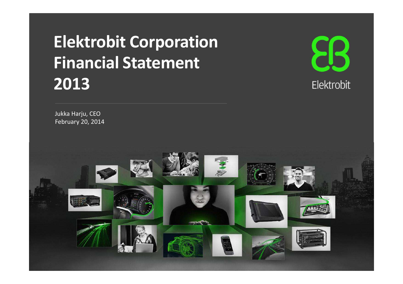# **Elektrobit CorporationFinancial Statement 2013**



Jukka Harju, CEOFebruary 20, 2014

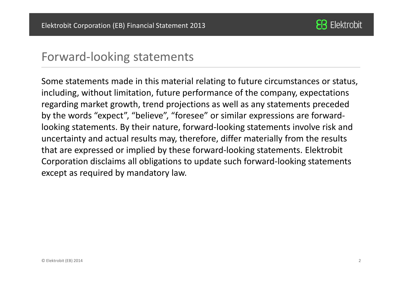

#### Forward-looking statements

Some statements made in this material relating to future circumstances or status, including, without limitation, future performance of the company, expectations regarding market growth, trend projections as well as any statements preceded by the words "expect", "believe", "foresee" or similar expressions are forwardlooking statements. By their nature, forward-looking statements involve risk and uncertainty and actual results may, therefore, differ materially from the results that are expressed or implied by these forward-looking statements. Elektrobit Corporation disclaims all obligations to update such forward-looking statements except as required by mandatory law.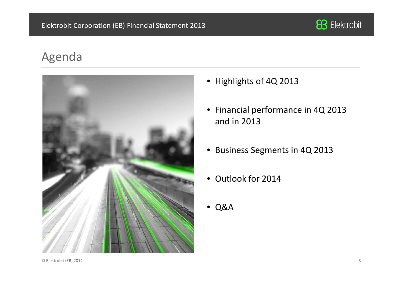

### Agenda



- Highlights of 4Q 2013
- Financial performance in 4Q 2013 and in 2013
- Business Segments in 4Q 2013
- Outlook for 2014
- Q&A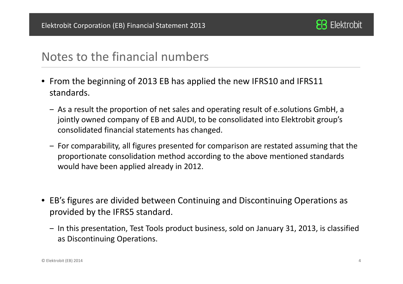

#### Notes to the financial numbers

- From the beginning of 2013 EB has applied the new IFRS10 and IFRS11 standards.
	- ‒ As a result the proportion of net sales and operating result of e.solutions GmbH, a jointly owned company of EB and AUDI, to be consolidated into Elektrobit group's consolidated financial statements has changed.
	- ‒ For comparability, all figures presented for comparison are restated assuming that the proportionate consolidation method according to the above mentioned standards would have been applied already in 2012.
- EB's figures are divided between Continuing and Discontinuing Operations as provided by the IFRS5 standard.
	- ‒ In this presentation, Test Tools product business, sold on January 31, 2013, is classified as Discontinuing Operations.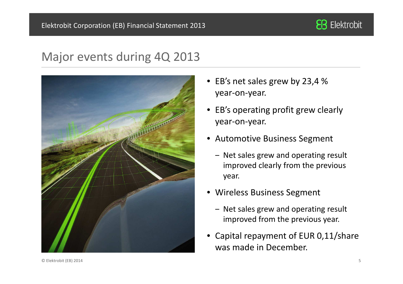

#### Major events during 4Q 2013



- • EB's net sales grew by 23,4 % year-on-year.
- • EB's operating profit grew clearly year-on-year.
- $\bullet$  Automotive Business Segment
	- ‒ Net sales grew and operating result improved clearly from the previous year.
- Wireless Business Segment
	- ‒ Net sales grew and operating result improved from the previous year.
- • Capital repayment of EUR 0,11/share was made in December.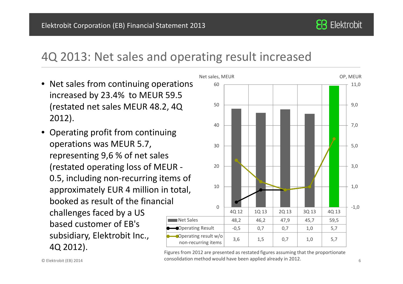

#### 4Q 2013: Net sales and operating result increased

- $\bullet\,$  Net sales from continuing operations  $\qquad \,$  60 increased by 23.4% to MEUR 59.5 (restated net sales MEUR 48.2, 4Q 2012).
- Net Sales• Operating profit from continuing operations was MEUR 5.7, representing 9,6 % of net sales (restated operating loss of MEUR -0.5, including non-recurring items of approximately EUR 4 million in total, booked as result of the financial challenges faced by a US based customer of EB's subsidiary, Elektrobit Inc., 4Q 2012).



a consolidation method would have been applied already in 2012. Figures from 2012 are presented as restated figures assuming that the proportionate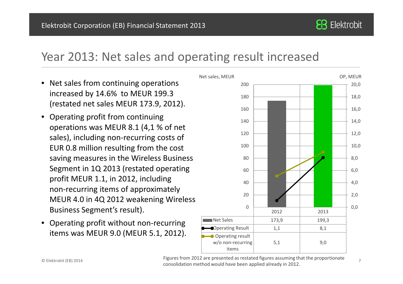#### Year 2013: Net sales and operating result increased

- Net sales from continuing operations  $200$ increased by 14.6% to MEUR 199.3 (restated net sales MEUR 173.9, 2012).
- • Operating profit from continuing operations was MEUR 8.1 (4,1 % of net sales), including non-recurring costs of EUR 0.8 million resulting from the cost saving measures in the Wireless Business Segment in 1Q 2013 (restated operating profit MEUR 1.1, in 2012, including non-recurring items of approximately MEUR 4.0 in 4Q 2012 weakening Wireless Business Segment's result).
- • Operating profit without non-recurring items was MEUR 9.0 (MEUR 5.1, 2012).



 <sup>7</sup> consolidation method would have been applied already in 2012. Figures from 2012 are presented as restated figures assuming that the proportionate

**EB** Elektrobit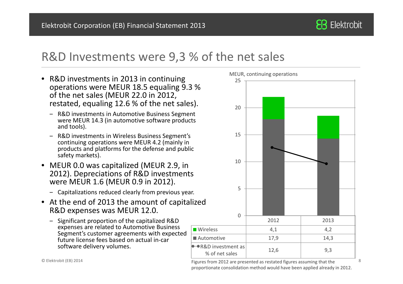

#### R&D Investments were 9,3 % of the net sales

- R&D investments in 2013 in continuing operations were MEUR 18.5 equaling 9.3 % of the net sales (MEUR 22.0 in 2012, restated, equaling 12.6 % of the net sales).
	- ‒ R&D investments in Automotive Business Segment were MEUR 14.3 (in automotive software products and tools).
	- ‒ R&D investments in Wireless Business Segment's continuing operations were MEUR 4.2 (mainly in products and platforms for the defense and public safety markets).
- MEUR 0.0 was capitalized (MEUR 2.9, in 2012). Depreciations of R&D investments were MEUR 1.6 (MEUR 0.9 in 2012).
	- ‒ Capitalizations reduced clearly from previous year.
- $\bullet$  At the end of 2013 the amount of capitalized R&D expenses was MEUR 12.0.
	- ‒ Significant proportion of the capitalized R&D expenses are related to Automotive Business Segment's customer agreements with expected future license fees based on actual in-car software delivery volumes.



 $^{4}$   $^{4}$   $^{4}$   $^{5}$   $^{7}$   $^{8}$   $^{8}$   $^{10}$   $^{10}$   $^{10}$   $^{10}$   $^{10}$   $^{10}$   $^{10}$   $^{10}$   $^{10}$   $^{10}$   $^{10}$   $^{10}$   $^{10}$   $^{10}$   $^{10}$   $^{10}$   $^{10}$   $^{10}$   $^{10}$   $^{10}$   $^{10}$   $^{10}$   $^{10}$   $^{10}$   $^{10}$   $^{10$ proportionate consolidation method would have been applied already in 2012.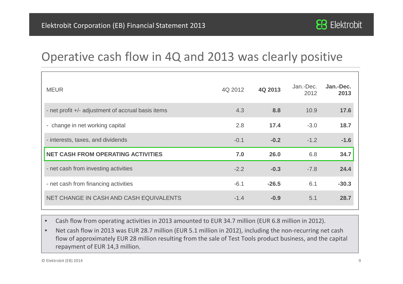

# Operative cash flow in 4Q and 2013 was clearly positive

| <b>MEUR</b>                                        | 4Q 2012 | 4Q 2013 | Jan.-Dec.<br>2012 | Jan.-Dec.<br>2013 |
|----------------------------------------------------|---------|---------|-------------------|-------------------|
| - net profit +/- adjustment of accrual basis items | 4.3     | 8.8     | 10.9              | 17.6              |
| - change in net working capital                    | 2.8     | 17.4    | $-3.0$            | 18.7              |
| - interests, taxes, and dividends                  | $-0.1$  | $-0.2$  | $-1.2$            | $-1.6$            |
| <b>NET CASH FROM OPERATING ACTIVITIES</b>          | 7.0     | 26.0    | 6.8               | 34.7              |
| - net cash from investing activities               | $-2.2$  | $-0.3$  | $-7.8$            | 24.4              |
| - net cash from financing activities               | $-6.1$  | $-26.5$ | 6.1               | $-30.3$           |
| NET CHANGE IN CASH AND CASH EQUIVALENTS            | $-1.4$  | $-0.9$  | 5.1               | 28.7              |

 $\bullet$ Cash flow from operating activities in 2013 amounted to EUR 34.7 million (EUR 6.8 million in 2012).

 $\bullet$  Net cash flow in 2013 was EUR 28.7 million (EUR 5.1 million in 2012), including the non-recurring net cash flow of approximately EUR 28 million resulting from the sale of Test Tools product business, and the capital repayment of EUR 14,3 million.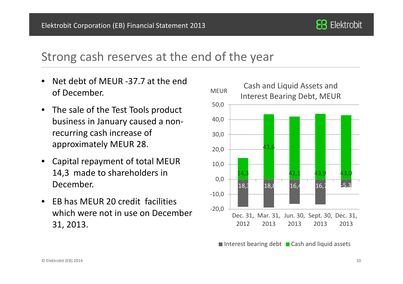

# Strong cash reserves at the end of the year

- • Net debt of MEUR -37.7 at the end of December.
- The sale of the Test Tools product business in January caused a nonrecurring cash increase of approximately MEUR 28.
- • Capital repayment of total MEUR 14,3 made to shareholders in December.
- • EB has MEUR 20 credit facilities which were not in use on December 31, 2013.



Interest bearing debt  $\;\blacksquare$  Cash and liquid assets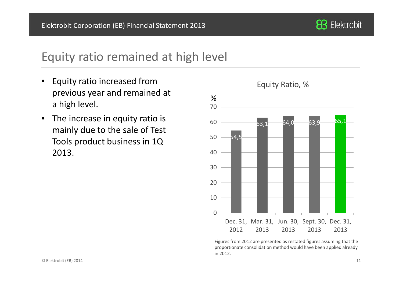

# Equity ratio remained at high level

- • Equity ratio increased from previous year and remained at a high level.
- $\bullet$  The increase in equity ratio is mainly due to the sale of Test Tools product business in 1Q 2013.



Figures from 2012 are presented as restated figures assuming that the proportionate consolidation method would have been applied already in 2012.

#### Equity Ratio, %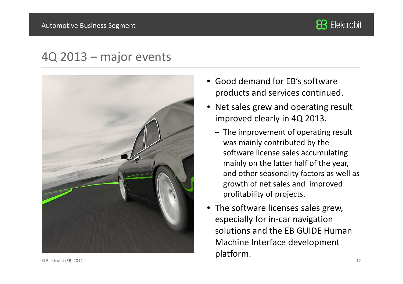

#### 4Q 2013 – major events



- • Good demand for EB's software products and services continued.
- • Net sales grew and operating result improved clearly in 4Q 2013.
	- ‒ The improvement of operating result was mainly contributed by the software license sales accumulating mainly on the latter half of the year, and other seasonality factors as well as growth of net sales and improved profitability of projects.
- The software licenses sales grew, especially for in-car navigation solutions and the EB GUIDE Human Machine Interface development platform.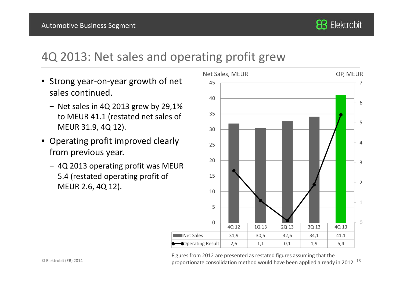

#### 4Q 2013: Net sales and operating profit grew

- Strong year-on-year growth of net sales continued.
	- ‒ Net sales in 4Q 2013 grew by 29,1% to MEUR 41.1 (restated net sales of MEUR 31.9, 4Q 12).
- Operating profit improved clearly from previous year.
	- ‒ 4Q 2013 operating profit was MEUR 5.4 (restated operating profit of MEUR 2.6, 4Q 12).



 $^{4}$  and the proportionate consolidation method would have been applied already in 2012.  $^{13}$ Figures from 2012 are presented as restated figures assuming that the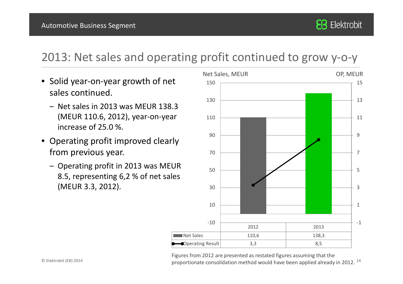# 2013: Net sales and operating profit continued to grow y-o-y

- Solid year-on-year growth of net sales continued.
	- ‒ Net sales in 2013 was MEUR 138.3 (MEUR 110.6, 2012), year-on-year increase of 25.0 %.
- Operating profit improved clearly from previous year.
	- ‒ Operating profit in 2013 was MEUR 8.5, representing 6,2 % of net sales (MEUR 3.3, 2012).



 $^{4}$  and the proportionate consolidation method would have been applied already in 2012.  $^{14}$ Figures from 2012 are presented as restated figures assuming that the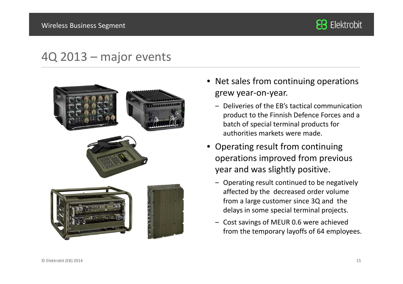

# 4Q 2013 – major events



- Net sales from continuing operations grew year-on-year.
	- ‒ Deliveries of the EB's tactical communication product to the Finnish Defence Forces and a batch of special terminal products for authorities markets were made.
- Operating result from continuing operations improved from previous year and was slightly positive.
	- ‒ Operating result continued to be negatively affected by the decreased order volume from a large customer since 3Q and the delays in some special terminal projects.
	- ‒ Cost savings of MEUR 0.6 were achieved from the temporary layoffs of 64 employees.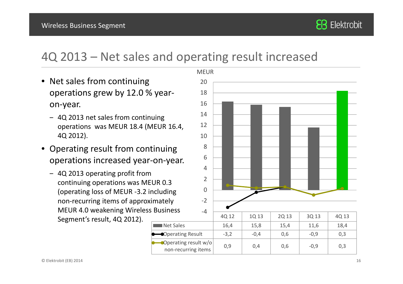

### 4Q 2013 – Net sales and operating result increased

- Net sales from continuing operations grew by 12.0 % yearon-year.
	- ‒ 4Q 2013 net sales from continuing operations was MEUR 18.4 (MEUR 16.4, 4Q 2012).
- Operating result from continuing operations increased year-on-year.
	- ‒ 4Q 2013 operating profit from continuing operations was MEUR 0.3 (operating loss of MEUR -3.2 including non-recurring items of approximately MEUR 4.0 weakening Wireless Business Segment's result, 4Q 2012).**Net Sales**

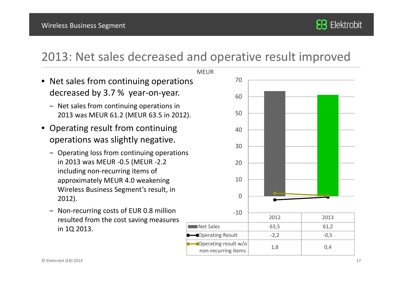# 2013: Net sales decreased and operative result improved

- Net sales from continuing operations  $17$ decreased by 3.7 % year-on-year.
	- ‒ Net sales from continuing operations in 2013 was MEUR 61.2 (MEUR 63.5 in 2012).
- Operating result from continuing operations was slightly negative.
	- ‒ Operating loss from continuing operations in 2013 was MEUR -0.5 (MEUR -2.2 including non-recurring items of approximately MEUR 4.0 weakening Wireless Business Segment's result, in 2012).
	- ‒ Non-recurring costs of EUR 0.8 million resulted from the cost saving measures in 1Q 2013.

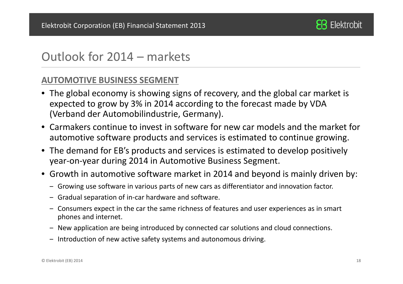

# Outlook for 2014 – markets

#### **AUTOMOTIVE BUSINESS SEGMENT**

- The global economy is showing signs of recovery, and the global car market is expected to grow by 3% in 2014 according to the forecast made by VDA (Verband der Automobilindustrie, Germany).
- Carmakers continue to invest in software for new car models and the market for automotive software products and services is estimated to continue growing.
- The demand for EB's products and services is estimated to develop positively year-on-year during 2014 in Automotive Business Segment.
- Growth in automotive software market in 2014 and beyond is mainly driven by:
	- ‒ Growing use software in various parts of new cars as differentiator and innovation factor.
	- ‒ Gradual separation of in-car hardware and software.
	- ‒ Consumers expect in the car the same richness of features and user experiences as in smart phones and internet.
	- ‒ New application are being introduced by connected car solutions and cloud connections.
	- ‒ Introduction of new active safety systems and autonomous driving.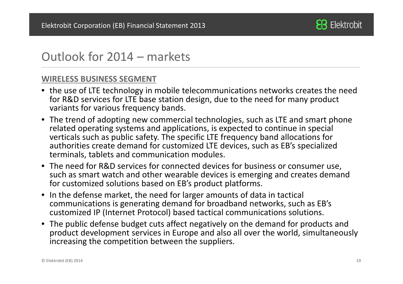

# Outlook for 2014 – markets

#### **WIRELESS BUSINESS SEGMENT**

- the use of LTE technology in mobile telecommunications networks creates the need for R&D services for LTE base station design, due to the need for many product variants for various frequency bands.
- The trend of adopting new commercial technologies, such as LTE and smart phone related operating systems and applications, is expected to continue in special verticals such as public safety. The specific LTE frequency band allocations for authorities create demand for customized LTE devices, such as EB's specialized terminals, tablets and communication modules.
- The need for R&D services for connected devices for business or consumer use, such as smart watch and other wearable devices is emerging and creates demand for customized solutions based on EB's product platforms.
- $\bullet$  In the defense market, the need for larger amounts of data in tactical communications is generating demand for broadband networks, such as EB's customized IP (Internet Protocol) based tactical communications solutions.
- The public defense budget cuts affect negatively on the demand for products and product development services in Europe and also all over the world, simultaneously increasing the competition between the suppliers.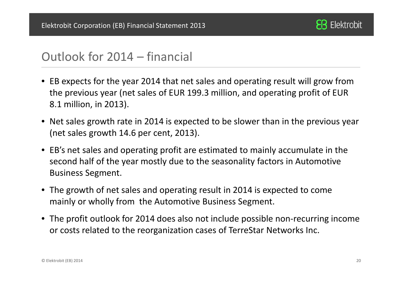

# Outlook for 2014 – financial

- EB expects for the year 2014 that net sales and operating result will grow from the previous year (net sales of EUR 199.3 million, and operating profit of EUR 8.1 million, in 2013).
- Net sales growth rate in 2014 is expected to be slower than in the previous year (net sales growth 14.6 per cent, 2013).
- EB's net sales and operating profit are estimated to mainly accumulate in the second half of the year mostly due to the seasonality factors in Automotive Business Segment.
- The growth of net sales and operating result in 2014 is expected to come mainly or wholly from the Automotive Business Segment.
- The profit outlook for 2014 does also not include possible non-recurring income or costs related to the reorganization cases of TerreStar Networks Inc.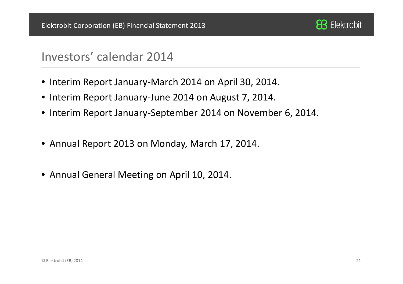

#### Investors' calendar 2014

- Interim Report January-March 2014 on April 30, 2014.
- Interim Report January-June 2014 on August 7, 2014.
- Interim Report January-September 2014 on November 6, 2014.
- Annual Report 2013 on Monday, March 17, 2014.
- Annual General Meeting on April 10, 2014.